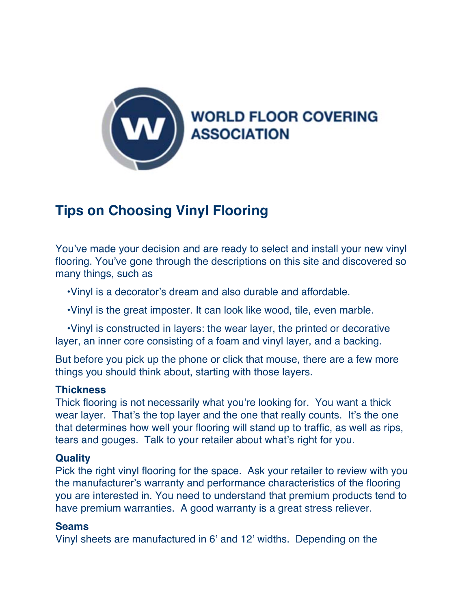

# **Tips on Choosing Vinyl Flooring**

You've made your decision and are ready to select and install your new vinyl flooring. You've gone through the descriptions on this site and discovered so many things, such as

•Vinyl is a decorator's dream and also durable and affordable.

•Vinyl is the great imposter. It can look like wood, tile, even marble.

 •Vinyl is constructed in layers: the wear layer, the printed or decorative layer, an inner core consisting of a foam and vinyl layer, and a backing.

But before you pick up the phone or click that mouse, there are a few more things you should think about, starting with those layers.

## **Thickness**

Thick flooring is not necessarily what you're looking for. You want a thick wear layer. That's the top layer and the one that really counts. It's the one that determines how well your flooring will stand up to traffic, as well as rips, tears and gouges. Talk to your retailer about what's right for you.

## **Quality**

Pick the right vinyl flooring for the space. Ask your retailer to review with you the manufacturer's warranty and performance characteristics of the flooring you are interested in. You need to understand that premium products tend to have premium warranties. A good warranty is a great stress reliever.

## **Seams**

Vinyl sheets are manufactured in 6' and 12' widths. Depending on the